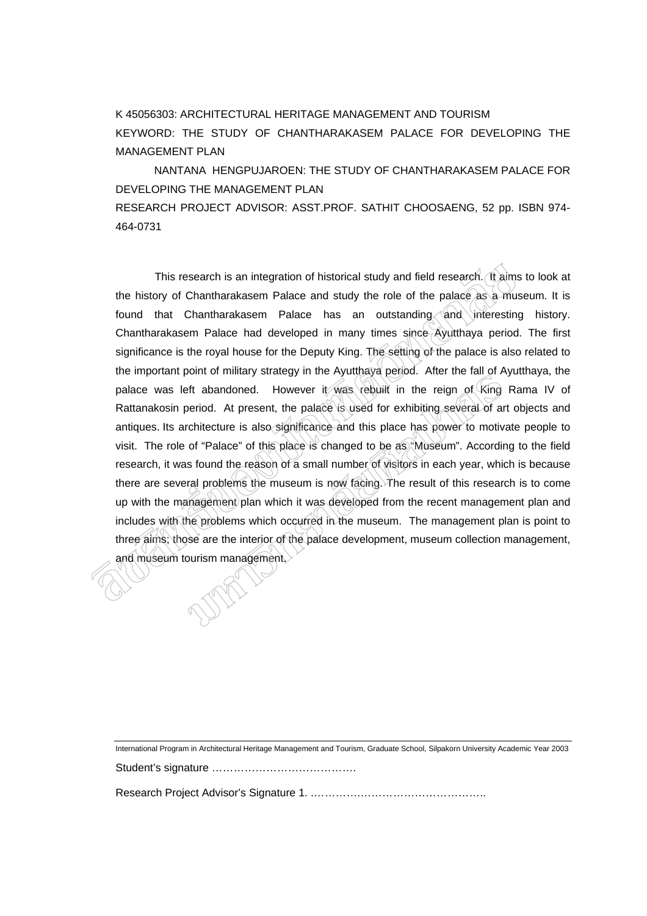## K 45056303: ARCHITECTURAL HERITAGE MANAGEMENT AND TOURISM KEYWORD: THE STUDY OF CHANTHARAKASEM PALACE FOR DEVELOPING THE MANAGEMENT PLAN

NANTANA HENGPUJAROEN: THE STUDY OF CHANTHARAKASEM PALACE FOR DEVELOPING THE MANAGEMENT PLAN

RESEARCH PROJECT ADVISOR: ASST.PROF. SATHIT CHOOSAENG, 52 pp. ISBN 974- 464-0731

This research is an integration of historical study and field research. It aims to look at the history of Chantharakasem Palace and study the role of the palace as a museum. It is found that Chantharakasem Palace has an outstanding and interesting history. Chantharakasem Palace had developed in many times since Ayutthaya period. The first significance is the royal house for the Deputy King. The setting of the palace is also related to the important point of military strategy in the Ayutthaya period. After the fall of Ayutthaya, the palace was left abandoned. However it was rebuilt in the reign of King Rama IV of Rattanakosin period. At present, the palace is used for exhibiting several of art objects and antiques. Its architecture is also significance and this place has power to motivate people to visit. The role of "Palace" of this place is changed to be as "Museum". According to the field research, it was found the reason of a small number of visitors in each year, which is because there are several problems the museum is now facing. The result of this research is to come up with the management plan which it was developed from the recent management plan and includes with the problems which occurred in the museum. The management plan is point to three aims; those are the interior of the palace development, museum collection management, and museum tourism management.

International Program in Architectural Heritage Management and Tourism, Graduate School, Silpakorn University Academic Year 2003

Student's signature ………………………………….

Research Project Advisor's Signature 1. .………….……………………………..